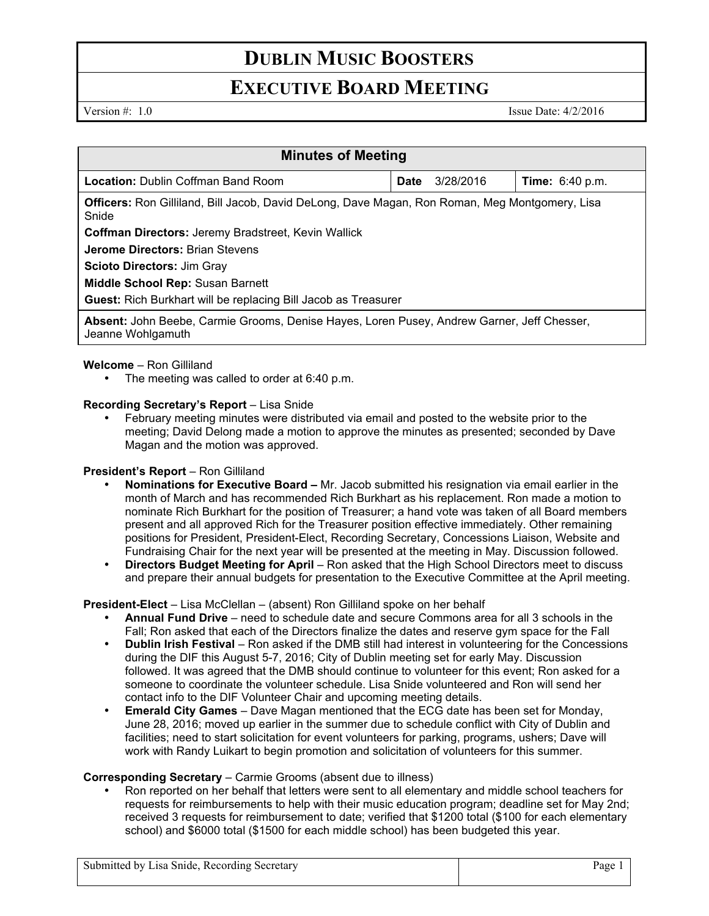# **DUBLIN MUSIC BOOSTERS**

## **EXECUTIVE BOARD MEETING**

Version #: 1.0 Issue Date: 4/2/2016

| <b>Minutes of Meeting</b>                                                                                       |      |           |                        |
|-----------------------------------------------------------------------------------------------------------------|------|-----------|------------------------|
| <b>Location: Dublin Coffman Band Room</b>                                                                       | Date | 3/28/2016 | <b>Time:</b> 6:40 p.m. |
| <b>Officers:</b> Ron Gilliland, Bill Jacob, David DeLong, Dave Magan, Ron Roman, Meg Montgomery, Lisa<br>Snide  |      |           |                        |
| <b>Coffman Directors: Jeremy Bradstreet, Kevin Wallick</b>                                                      |      |           |                        |
| <b>Jerome Directors: Brian Stevens</b>                                                                          |      |           |                        |
| <b>Scioto Directors: Jim Grav</b>                                                                               |      |           |                        |
| <b>Middle School Rep: Susan Barnett</b>                                                                         |      |           |                        |
| <b>Guest:</b> Rich Burkhart will be replacing Bill Jacob as Treasurer                                           |      |           |                        |
| Absent: John Beebe, Carmie Grooms, Denise Hayes, Loren Pusey, Andrew Garner, Jeff Chesser,<br>Jeanne Wohlgamuth |      |           |                        |

### **Welcome** – Ron Gilliland

• The meeting was called to order at 6:40 p.m.

#### **Recording Secretary's Report** – Lisa Snide

• February meeting minutes were distributed via email and posted to the website prior to the meeting; David Delong made a motion to approve the minutes as presented; seconded by Dave Magan and the motion was approved.

### **President's Report - Ron Gilliland**

- **Nominations for Executive Board –** Mr. Jacob submitted his resignation via email earlier in the month of March and has recommended Rich Burkhart as his replacement. Ron made a motion to nominate Rich Burkhart for the position of Treasurer; a hand vote was taken of all Board members present and all approved Rich for the Treasurer position effective immediately. Other remaining positions for President, President-Elect, Recording Secretary, Concessions Liaison, Website and Fundraising Chair for the next year will be presented at the meeting in May. Discussion followed.
- **Directors Budget Meeting for April** Ron asked that the High School Directors meet to discuss and prepare their annual budgets for presentation to the Executive Committee at the April meeting.

### **President-Elect** – Lisa McClellan – (absent) Ron Gilliland spoke on her behalf

- **Annual Fund Drive** need to schedule date and secure Commons area for all 3 schools in the Fall; Ron asked that each of the Directors finalize the dates and reserve gym space for the Fall
- **Dublin Irish Festival**  Ron asked if the DMB still had interest in volunteering for the Concessions during the DIF this August 5-7, 2016; City of Dublin meeting set for early May. Discussion followed. It was agreed that the DMB should continue to volunteer for this event; Ron asked for a someone to coordinate the volunteer schedule. Lisa Snide volunteered and Ron will send her contact info to the DIF Volunteer Chair and upcoming meeting details.
- **Emerald City Games**  Dave Magan mentioned that the ECG date has been set for Monday, June 28, 2016; moved up earlier in the summer due to schedule conflict with City of Dublin and facilities; need to start solicitation for event volunteers for parking, programs, ushers; Dave will work with Randy Luikart to begin promotion and solicitation of volunteers for this summer.

### **Corresponding Secretary** – Carmie Grooms (absent due to illness)

• Ron reported on her behalf that letters were sent to all elementary and middle school teachers for requests for reimbursements to help with their music education program; deadline set for May 2nd; received 3 requests for reimbursement to date; verified that \$1200 total (\$100 for each elementary school) and \$6000 total (\$1500 for each middle school) has been budgeted this year.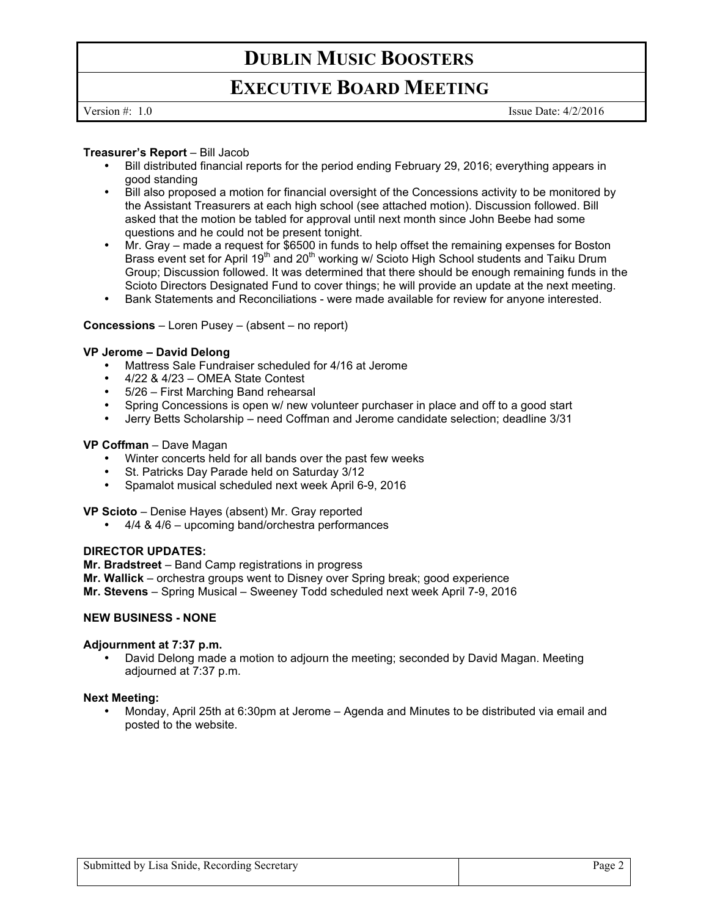# **DUBLIN MUSIC BOOSTERS**

# **EXECUTIVE BOARD MEETING**

Version #: 1.0 Issue Date: 4/2/2016

#### **Treasurer's Report** – Bill Jacob

- Bill distributed financial reports for the period ending February 29, 2016; everything appears in good standing
- Bill also proposed a motion for financial oversight of the Concessions activity to be monitored by the Assistant Treasurers at each high school (see attached motion). Discussion followed. Bill asked that the motion be tabled for approval until next month since John Beebe had some questions and he could not be present tonight.
- Mr. Gray made a request for \$6500 in funds to help offset the remaining expenses for Boston Brass event set for April 19<sup>th</sup> and 20<sup>th</sup> working w/ Scioto High School students and Taiku Drum Group; Discussion followed. It was determined that there should be enough remaining funds in the Scioto Directors Designated Fund to cover things; he will provide an update at the next meeting.
- Bank Statements and Reconciliations were made available for review for anyone interested.

#### **Concessions** – Loren Pusey – (absent – no report)

#### **VP Jerome – David Delong**

- Mattress Sale Fundraiser scheduled for 4/16 at Jerome
- 4/22 & 4/23 OMEA State Contest
- 5/26 First Marching Band rehearsal
- Spring Concessions is open w/ new volunteer purchaser in place and off to a good start
- Jerry Betts Scholarship need Coffman and Jerome candidate selection; deadline 3/31

#### **VP Coffman** – Dave Magan

- Winter concerts held for all bands over the past few weeks
- St. Patricks Day Parade held on Saturday 3/12
- Spamalot musical scheduled next week April 6-9, 2016

**VP Scioto** – Denise Hayes (absent) Mr. Gray reported

• 4/4 & 4/6 – upcoming band/orchestra performances

#### **DIRECTOR UPDATES:**

**Mr. Bradstreet** – Band Camp registrations in progress **Mr. Wallick** – orchestra groups went to Disney over Spring break; good experience **Mr. Stevens** – Spring Musical – Sweeney Todd scheduled next week April 7-9, 2016

#### **NEW BUSINESS - NONE**

#### **Adjournment at 7:37 p.m.**

• David Delong made a motion to adjourn the meeting; seconded by David Magan. Meeting adjourned at 7:37 p.m.

#### **Next Meeting:**

• Monday, April 25th at 6:30pm at Jerome – Agenda and Minutes to be distributed via email and posted to the website.